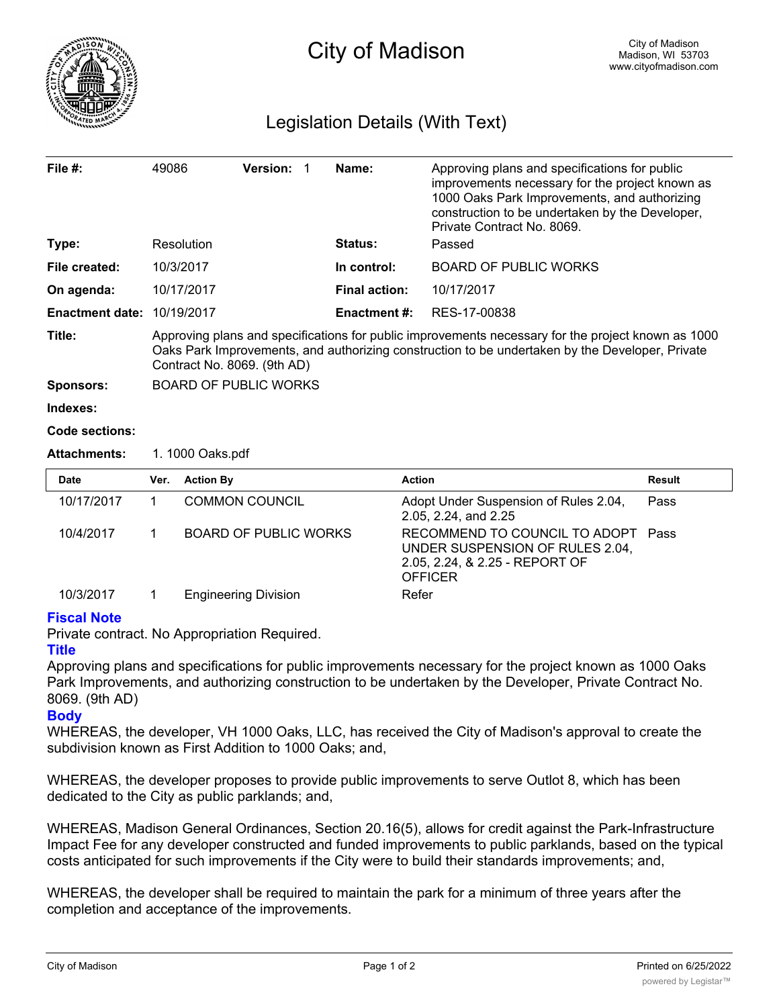

## Legislation Details (With Text)

| File $#$ :             | 49086                                                                                                                                                                                                                                | Version: 1                   | Name:                | Approving plans and specifications for public<br>improvements necessary for the project known as<br>1000 Oaks Park Improvements, and authorizing<br>construction to be undertaken by the Developer,<br>Private Contract No. 8069. |               |  |
|------------------------|--------------------------------------------------------------------------------------------------------------------------------------------------------------------------------------------------------------------------------------|------------------------------|----------------------|-----------------------------------------------------------------------------------------------------------------------------------------------------------------------------------------------------------------------------------|---------------|--|
| Type:                  |                                                                                                                                                                                                                                      | Resolution                   | Status:              | Passed                                                                                                                                                                                                                            |               |  |
| File created:          |                                                                                                                                                                                                                                      | 10/3/2017                    | In control:          | <b>BOARD OF PUBLIC WORKS</b>                                                                                                                                                                                                      |               |  |
| On agenda:             |                                                                                                                                                                                                                                      | 10/17/2017                   | <b>Final action:</b> | 10/17/2017                                                                                                                                                                                                                        |               |  |
| <b>Enactment date:</b> |                                                                                                                                                                                                                                      | 10/19/2017                   | <b>Enactment #:</b>  | RES-17-00838                                                                                                                                                                                                                      |               |  |
| Title:                 | Approving plans and specifications for public improvements necessary for the project known as 1000<br>Oaks Park Improvements, and authorizing construction to be undertaken by the Developer, Private<br>Contract No. 8069. (9th AD) |                              |                      |                                                                                                                                                                                                                                   |               |  |
| <b>Sponsors:</b>       |                                                                                                                                                                                                                                      | <b>BOARD OF PUBLIC WORKS</b> |                      |                                                                                                                                                                                                                                   |               |  |
| Indexes:               |                                                                                                                                                                                                                                      |                              |                      |                                                                                                                                                                                                                                   |               |  |
| Code sections:         |                                                                                                                                                                                                                                      |                              |                      |                                                                                                                                                                                                                                   |               |  |
| <b>Attachments:</b>    | 1. 1000 Oaks.pdf                                                                                                                                                                                                                     |                              |                      |                                                                                                                                                                                                                                   |               |  |
| Date                   | Ver.                                                                                                                                                                                                                                 | <b>Action By</b>             |                      | <b>Action</b>                                                                                                                                                                                                                     | <b>Result</b> |  |
| 10/17/2017             | 1                                                                                                                                                                                                                                    | <b>COMMON COUNCIL</b>        |                      | Adopt Under Suspension of Rules 2.04,<br>2.05, 2.24, and 2.25                                                                                                                                                                     | Pass          |  |
| 10/4/2017              | 1.                                                                                                                                                                                                                                   | <b>BOARD OF PUBLIC WORKS</b> |                      | RECOMMEND TO COUNCIL TO ADOPT<br>UNDER SUSPENSION OF RULES 2.04,<br>2.05, 2.24, & 2.25 - REPORT OF<br><b>OFFICER</b>                                                                                                              | Pass          |  |
| 10/3/2017              | 1                                                                                                                                                                                                                                    | <b>Engineering Division</b>  |                      | Refer                                                                                                                                                                                                                             |               |  |

## **Fiscal Note**

Private contract. No Appropriation Required.

## **Title**

Approving plans and specifications for public improvements necessary for the project known as 1000 Oaks Park Improvements, and authorizing construction to be undertaken by the Developer, Private Contract No. 8069. (9th AD)

## **Body**

WHEREAS, the developer, VH 1000 Oaks, LLC, has received the City of Madison's approval to create the subdivision known as First Addition to 1000 Oaks; and,

WHEREAS, the developer proposes to provide public improvements to serve Outlot 8, which has been dedicated to the City as public parklands; and,

WHEREAS, Madison General Ordinances, Section 20.16(5), allows for credit against the Park-Infrastructure Impact Fee for any developer constructed and funded improvements to public parklands, based on the typical costs anticipated for such improvements if the City were to build their standards improvements; and,

WHEREAS, the developer shall be required to maintain the park for a minimum of three years after the completion and acceptance of the improvements.